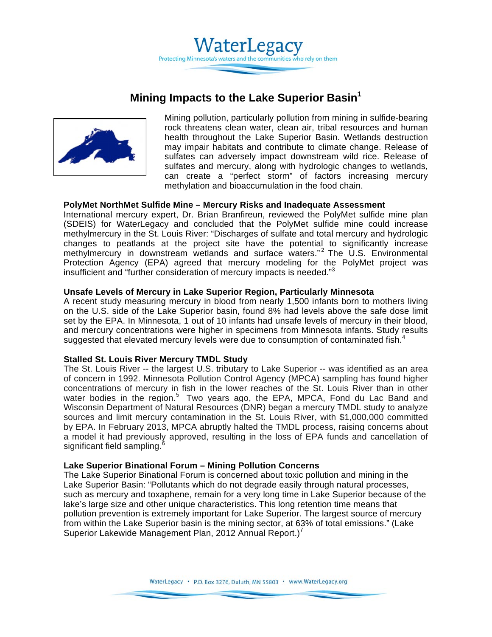

# **Mining Impacts to the Lake Superior Basin1**



Mining pollution, particularly pollution from mining in sulfide-bearing rock threatens clean water, clean air, tribal resources and human health throughout the Lake Superior Basin. Wetlands destruction may impair habitats and contribute to climate change. Release of sulfates can adversely impact downstream wild rice. Release of sulfates and mercury, along with hydrologic changes to wetlands, can create a "perfect storm" of factors increasing mercury methylation and bioaccumulation in the food chain.

#### **PolyMet NorthMet Sulfide Mine – Mercury Risks and Inadequate Assessment**

International mercury expert, Dr. Brian Branfireun, reviewed the PolyMet sulfide mine plan (SDEIS) for WaterLegacy and concluded that the PolyMet sulfide mine could increase methylmercury in the St. Louis River: "Discharges of sulfate and total mercury and hydrologic changes to peatlands at the project site have the potential to significantly increase methylmercury in downstream wetlands and surface waters."<sup>2</sup> The U.S. Environmental Protection Agency (EPA) agreed that mercury modeling for the PolyMet project was insufficient and "further consideration of mercury impacts is needed."<sup>3</sup>

#### **Unsafe Levels of Mercury in Lake Superior Region, Particularly Minnesota**

A recent study measuring mercury in blood from nearly 1,500 infants born to mothers living on the U.S. side of the Lake Superior basin, found 8% had levels above the safe dose limit set by the EPA. In Minnesota, 1 out of 10 infants had unsafe levels of mercury in their blood, and mercury concentrations were higher in specimens from Minnesota infants. Study results suggested that elevated mercury levels were due to consumption of contaminated fish.<sup>4</sup>

#### **Stalled St. Louis River Mercury TMDL Study**

The St. Louis River -- the largest U.S. tributary to Lake Superior -- was identified as an area of concern in 1992. Minnesota Pollution Control Agency (MPCA) sampling has found higher concentrations of mercury in fish in the lower reaches of the St. Louis River than in other water bodies in the region.<sup>5</sup> Two years ago, the EPA, MPCA, Fond du Lac Band and Wisconsin Department of Natural Resources (DNR) began a mercury TMDL study to analyze sources and limit mercury contamination in the St. Louis River, with \$1,000,000 committed by EPA. In February 2013, MPCA abruptly halted the TMDL process, raising concerns about a model it had previously approved, resulting in the loss of EPA funds and cancellation of significant field sampling. 6

#### **Lake Superior Binational Forum – Mining Pollution Concerns**

The Lake Superior Binational Forum is concerned about toxic pollution and mining in the Lake Superior Basin: "Pollutants which do not degrade easily through natural processes, such as mercury and toxaphene, remain for a very long time in Lake Superior because of the lake's large size and other unique characteristics. This long retention time means that pollution prevention is extremely important for Lake Superior. The largest source of mercury from within the Lake Superior basin is the mining sector, at 63% of total emissions." (Lake Superior Lakewide Management Plan, 2012 Annual Report.) $^7$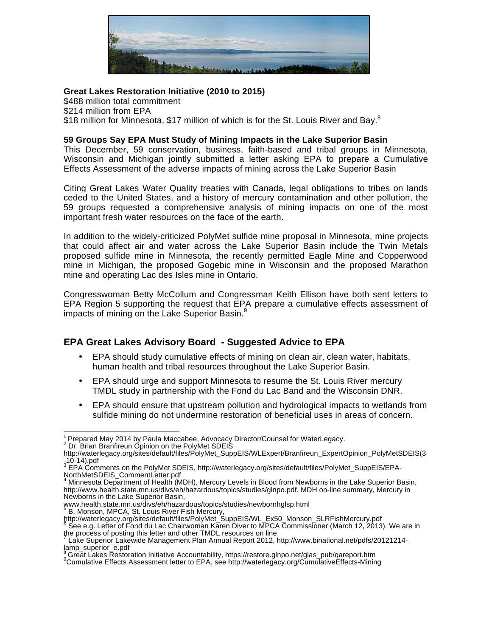

### **Great Lakes Restoration Initiative (2010 to 2015)**

\$488 million total commitment \$214 million from EPA \$18 million for Minnesota, \$17 million of which is for the St. Louis River and Bay.<sup>8</sup>

#### **59 Groups Say EPA Must Study of Mining Impacts in the Lake Superior Basin**

This December, 59 conservation, business, faith-based and tribal groups in Minnesota, Wisconsin and Michigan jointly submitted a letter asking EPA to prepare a Cumulative Effects Assessment of the adverse impacts of mining across the Lake Superior Basin

Citing Great Lakes Water Quality treaties with Canada, legal obligations to tribes on lands ceded to the United States, and a history of mercury contamination and other pollution, the 59 groups requested a comprehensive analysis of mining impacts on one of the most important fresh water resources on the face of the earth.

In addition to the widely-criticized PolyMet sulfide mine proposal in Minnesota, mine projects that could affect air and water across the Lake Superior Basin include the Twin Metals proposed sulfide mine in Minnesota, the recently permitted Eagle Mine and Copperwood mine in Michigan, the proposed Gogebic mine in Wisconsin and the proposed Marathon mine and operating Lac des Isles mine in Ontario.

Congresswoman Betty McCollum and Congressman Keith Ellison have both sent letters to EPA Region 5 supporting the request that EPA prepare a cumulative effects assessment of impacts of mining on the Lake Superior Basin.<sup>9</sup>

# **EPA Great Lakes Advisory Board - Suggested Advice to EPA**

- EPA should study cumulative effects of mining on clean air, clean water, habitats, human health and tribal resources throughout the Lake Superior Basin.
- EPA should urge and support Minnesota to resume the St. Louis River mercury TMDL study in partnership with the Fond du Lac Band and the Wisconsin DNR.
- EPA should ensure that upstream pollution and hydrological impacts to wetlands from sulfide mining do not undermine restoration of beneficial uses in areas of concern.

 $\overline{1}$ <sup>1</sup> Prepared May 2014 by Paula Maccabee, Advocacy Director/Counsel for WaterLegacy.<br><sup>2</sup> Dr. Brian Branfireun Opinion on the PolyMet SDEIS

http://waterlegacy.org/sites/default/files/PolyMet\_SuppEIS/WLExpert/Branfireun\_ExpertOpinion\_PolyMetSDEIS(3<br>-10-14).pdf<br>3 EBA Comments as the BeltiMat SDEIS busilisations as the state of the state of the state of the state

<sup>&</sup>lt;sup>3</sup> EPA Comments on the PolyMet SDEIS, http://waterlegacy.org/sites/default/files/PolyMet\_SuppEIS/EPA-<br>NorthMetSDEIS\_CommentLetter.pdf<br>1 Minness L. Do

Minnesota Department of Health (MDH), Mercury Levels in Blood from Newborns in the Lake Superior Basin, http://www.health.state.mn.us/divs/eh/hazardous/topics/studies/glnpo.pdf. MDH on-line summary, Mercury in Newborns in the Lake Superior Basin,

www.health.state.mn.us/divs/eh/hazardous/topics/studies/newbornhglsp.html <sup>5</sup> B. Monson, MPCA, St. Louis River Fish Mercury,

http://waterlegacy.org/sites/default/files/PolyMet\_SuppEIS/WL\_Ex50\_Monson\_SLRFishMercury.pdf  $6$  See e.g. Letter of Fond du Lac Chairwoman Karen Diver to MPCA Commissioner (March 12, 2013). We are in the process of posting this letter and other TMDL resources on line.

Lake Superior Lakewide Management Plan Annual Report 2012, http://www.binational.net/pdfs/20121214lamp\_superior\_e.pdf

<sup>8</sup> Great Lakes Restoration Initiative Accountability, https://restore.glnpo.net/glas\_pub/qareport.htm <sup>9</sup>

Cumulative Effects Assessment letter to EPA, see http://waterlegacy.org/CumulativeEffects-Mining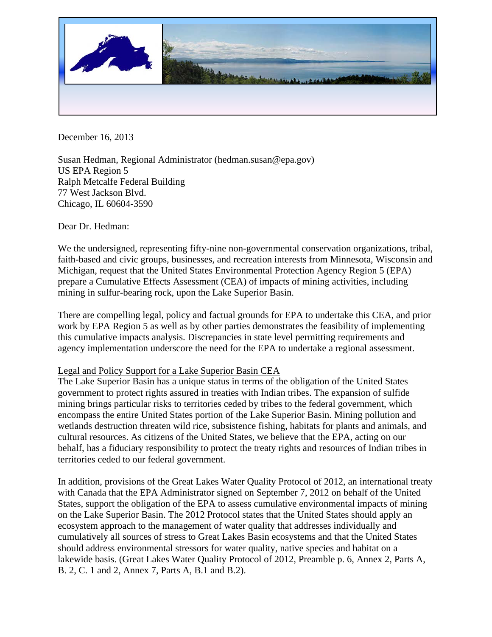

December 16, 2013

Susan Hedman, Regional Administrator (hedman.susan@epa.gov) US EPA Region 5 Ralph Metcalfe Federal Building 77 West Jackson Blvd. Chicago, IL 60604-3590

Dear Dr. Hedman:

We the undersigned, representing fifty-nine non-governmental conservation organizations, tribal, faith-based and civic groups, businesses, and recreation interests from Minnesota, Wisconsin and Michigan, request that the United States Environmental Protection Agency Region 5 (EPA) prepare a Cumulative Effects Assessment (CEA) of impacts of mining activities, including mining in sulfur-bearing rock, upon the Lake Superior Basin.

There are compelling legal, policy and factual grounds for EPA to undertake this CEA, and prior work by EPA Region 5 as well as by other parties demonstrates the feasibility of implementing this cumulative impacts analysis. Discrepancies in state level permitting requirements and agency implementation underscore the need for the EPA to undertake a regional assessment.

# Legal and Policy Support for a Lake Superior Basin CEA

The Lake Superior Basin has a unique status in terms of the obligation of the United States government to protect rights assured in treaties with Indian tribes. The expansion of sulfide mining brings particular risks to territories ceded by tribes to the federal government, which encompass the entire United States portion of the Lake Superior Basin. Mining pollution and wetlands destruction threaten wild rice, subsistence fishing, habitats for plants and animals, and cultural resources. As citizens of the United States, we believe that the EPA, acting on our behalf, has a fiduciary responsibility to protect the treaty rights and resources of Indian tribes in territories ceded to our federal government.

In addition, provisions of the Great Lakes Water Quality Protocol of 2012, an international treaty with Canada that the EPA Administrator signed on September 7, 2012 on behalf of the United States, support the obligation of the EPA to assess cumulative environmental impacts of mining on the Lake Superior Basin. The 2012 Protocol states that the United States should apply an ecosystem approach to the management of water quality that addresses individually and cumulatively all sources of stress to Great Lakes Basin ecosystems and that the United States should address environmental stressors for water quality, native species and habitat on a lakewide basis. (Great Lakes Water Quality Protocol of 2012, Preamble p. 6, Annex 2, Parts A, B. 2, C. 1 and 2, Annex 7, Parts A, B.1 and B.2).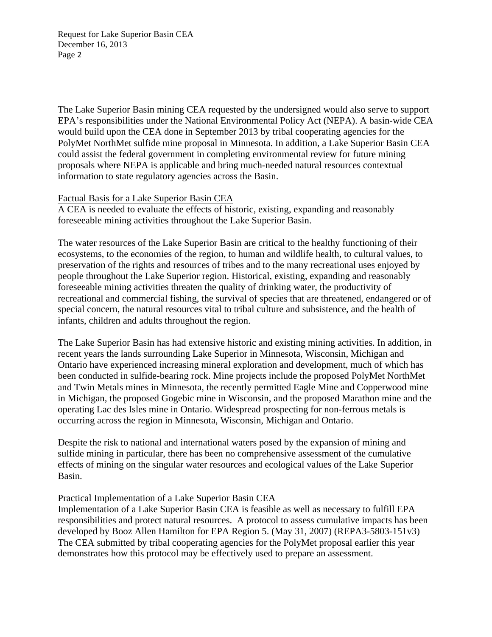The Lake Superior Basin mining CEA requested by the undersigned would also serve to support EPA's responsibilities under the National Environmental Policy Act (NEPA). A basin-wide CEA would build upon the CEA done in September 2013 by tribal cooperating agencies for the PolyMet NorthMet sulfide mine proposal in Minnesota. In addition, a Lake Superior Basin CEA could assist the federal government in completing environmental review for future mining proposals where NEPA is applicable and bring much-needed natural resources contextual information to state regulatory agencies across the Basin.

# Factual Basis for a Lake Superior Basin CEA

A CEA is needed to evaluate the effects of historic, existing, expanding and reasonably foreseeable mining activities throughout the Lake Superior Basin.

The water resources of the Lake Superior Basin are critical to the healthy functioning of their ecosystems, to the economies of the region, to human and wildlife health, to cultural values, to preservation of the rights and resources of tribes and to the many recreational uses enjoyed by people throughout the Lake Superior region. Historical, existing, expanding and reasonably foreseeable mining activities threaten the quality of drinking water, the productivity of recreational and commercial fishing, the survival of species that are threatened, endangered or of special concern, the natural resources vital to tribal culture and subsistence, and the health of infants, children and adults throughout the region.

The Lake Superior Basin has had extensive historic and existing mining activities. In addition, in recent years the lands surrounding Lake Superior in Minnesota, Wisconsin, Michigan and Ontario have experienced increasing mineral exploration and development, much of which has been conducted in sulfide-bearing rock. Mine projects include the proposed PolyMet NorthMet and Twin Metals mines in Minnesota, the recently permitted Eagle Mine and Copperwood mine in Michigan, the proposed Gogebic mine in Wisconsin, and the proposed Marathon mine and the operating Lac des Isles mine in Ontario. Widespread prospecting for non-ferrous metals is occurring across the region in Minnesota, Wisconsin, Michigan and Ontario.

Despite the risk to national and international waters posed by the expansion of mining and sulfide mining in particular, there has been no comprehensive assessment of the cumulative effects of mining on the singular water resources and ecological values of the Lake Superior Basin.

# Practical Implementation of a Lake Superior Basin CEA

Implementation of a Lake Superior Basin CEA is feasible as well as necessary to fulfill EPA responsibilities and protect natural resources. A protocol to assess cumulative impacts has been developed by Booz Allen Hamilton for EPA Region 5. (May 31, 2007) (REPA3-5803-151v3) The CEA submitted by tribal cooperating agencies for the PolyMet proposal earlier this year demonstrates how this protocol may be effectively used to prepare an assessment.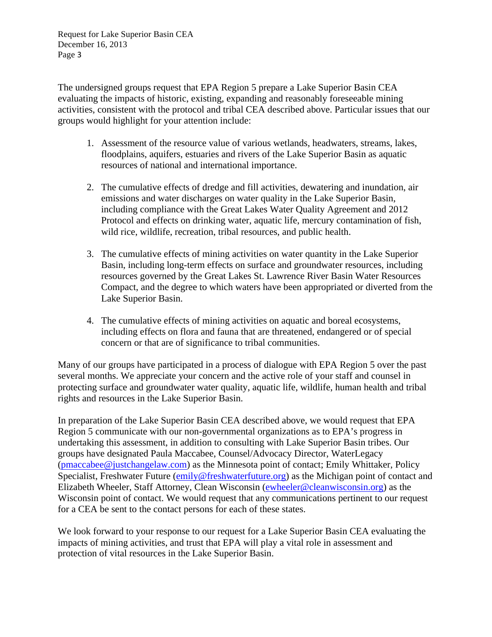The undersigned groups request that EPA Region 5 prepare a Lake Superior Basin CEA evaluating the impacts of historic, existing, expanding and reasonably foreseeable mining activities, consistent with the protocol and tribal CEA described above. Particular issues that our groups would highlight for your attention include:

- 1. Assessment of the resource value of various wetlands, headwaters, streams, lakes, floodplains, aquifers, estuaries and rivers of the Lake Superior Basin as aquatic resources of national and international importance.
- 2. The cumulative effects of dredge and fill activities, dewatering and inundation, air emissions and water discharges on water quality in the Lake Superior Basin, including compliance with the Great Lakes Water Quality Agreement and 2012 Protocol and effects on drinking water, aquatic life, mercury contamination of fish, wild rice, wildlife, recreation, tribal resources, and public health.
- 3. The cumulative effects of mining activities on water quantity in the Lake Superior Basin, including long-term effects on surface and groundwater resources, including resources governed by the Great Lakes St. Lawrence River Basin Water Resources Compact, and the degree to which waters have been appropriated or diverted from the Lake Superior Basin.
- 4. The cumulative effects of mining activities on aquatic and boreal ecosystems, including effects on flora and fauna that are threatened, endangered or of special concern or that are of significance to tribal communities.

Many of our groups have participated in a process of dialogue with EPA Region 5 over the past several months. We appreciate your concern and the active role of your staff and counsel in protecting surface and groundwater water quality, aquatic life, wildlife, human health and tribal rights and resources in the Lake Superior Basin.

In preparation of the Lake Superior Basin CEA described above, we would request that EPA Region 5 communicate with our non-governmental organizations as to EPA's progress in undertaking this assessment, in addition to consulting with Lake Superior Basin tribes. Our groups have designated Paula Maccabee, Counsel/Advocacy Director, WaterLegacy (pmaccabee@justchangelaw.com) as the Minnesota point of contact; Emily Whittaker, Policy Specialist, Freshwater Future (emily@freshwaterfuture.org) as the Michigan point of contact and Elizabeth Wheeler, Staff Attorney, Clean Wisconsin (ewheeler@cleanwisconsin.org) as the Wisconsin point of contact. We would request that any communications pertinent to our request for a CEA be sent to the contact persons for each of these states.

We look forward to your response to our request for a Lake Superior Basin CEA evaluating the impacts of mining activities, and trust that EPA will play a vital role in assessment and protection of vital resources in the Lake Superior Basin.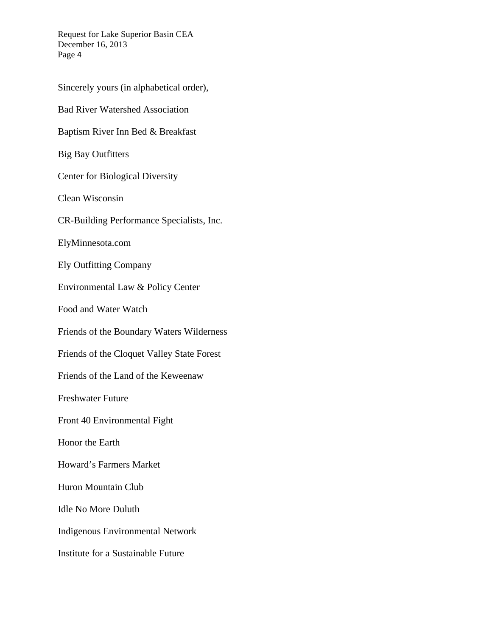Sincerely yours (in alphabetical order), Bad River Watershed Association Baptism River Inn Bed & Breakfast Big Bay Outfitters Center for Biological Diversity Clean Wisconsin CR-Building Performance Specialists, Inc. ElyMinnesota.com Ely Outfitting Company Environmental Law & Policy Center Food and Water Watch Friends of the Boundary Waters Wilderness Friends of the Cloquet Valley State Forest Friends of the Land of the Keweenaw Freshwater Future Front 40 Environmental Fight Honor the Earth Howard's Farmers Market Huron Mountain Club Idle No More Duluth Indigenous Environmental Network Institute for a Sustainable Future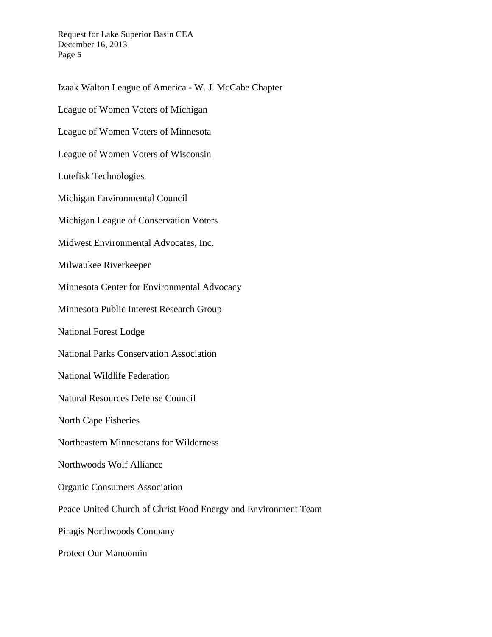Izaak Walton League of America - W. J. McCabe Chapter League of Women Voters of Michigan League of Women Voters of Minnesota League of Women Voters of Wisconsin Lutefisk Technologies Michigan Environmental Council Michigan League of Conservation Voters Midwest Environmental Advocates, Inc. Milwaukee Riverkeeper Minnesota Center for Environmental Advocacy Minnesota Public Interest Research Group National Forest Lodge National Parks Conservation Association National Wildlife Federation Natural Resources Defense Council North Cape Fisheries Northeastern Minnesotans for Wilderness Northwoods Wolf Alliance Organic Consumers Association Peace United Church of Christ Food Energy and Environment Team Piragis Northwoods Company Protect Our Manoomin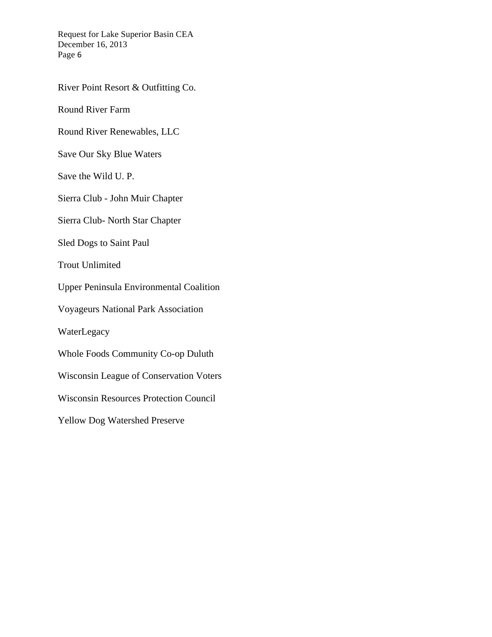River Point Resort & Outfitting Co.

Round River Farm

Round River Renewables, LLC

Save Our Sky Blue Waters

Save the Wild U. P.

Sierra Club - John Muir Chapter

Sierra Club- North Star Chapter

Sled Dogs to Saint Paul

Trout Unlimited

Upper Peninsula Environmental Coalition

Voyageurs National Park Association

WaterLegacy

Whole Foods Community Co-op Duluth

Wisconsin League of Conservation Voters

Wisconsin Resources Protection Council

Yellow Dog Watershed Preserve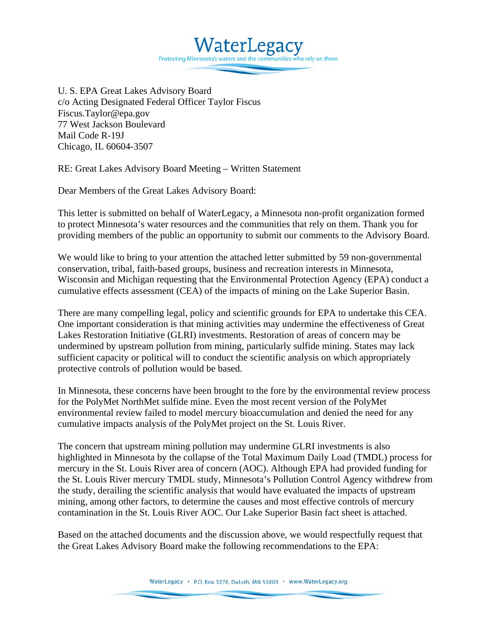U. S. EPA Great Lakes Advisory Board c/o Acting Designated Federal Officer Taylor Fiscus Fiscus.Taylor@epa.gov 77 West Jackson Boulevard Mail Code R-19J Chicago, IL 60604-3507

RE: Great Lakes Advisory Board Meeting – Written Statement

**Protecting Minnesota** 

Dear Members of the Great Lakes Advisory Board:

This letter is submitted on behalf of WaterLegacy, a Minnesota non-profit organization formed to protect Minnesota's water resources and the communities that rely on them. Thank you for providing members of the public an opportunity to submit our comments to the Advisory Board.

WaterLegacy

ho rely on them

We would like to bring to your attention the attached letter submitted by 59 non-governmental conservation, tribal, faith-based groups, business and recreation interests in Minnesota, Wisconsin and Michigan requesting that the Environmental Protection Agency (EPA) conduct a cumulative effects assessment (CEA) of the impacts of mining on the Lake Superior Basin.

There are many compelling legal, policy and scientific grounds for EPA to undertake this CEA. One important consideration is that mining activities may undermine the effectiveness of Great Lakes Restoration Initiative (GLRI) investments. Restoration of areas of concern may be undermined by upstream pollution from mining, particularly sulfide mining. States may lack sufficient capacity or political will to conduct the scientific analysis on which appropriately protective controls of pollution would be based.

In Minnesota, these concerns have been brought to the fore by the environmental review process for the PolyMet NorthMet sulfide mine. Even the most recent version of the PolyMet environmental review failed to model mercury bioaccumulation and denied the need for any cumulative impacts analysis of the PolyMet project on the St. Louis River.

The concern that upstream mining pollution may undermine GLRI investments is also highlighted in Minnesota by the collapse of the Total Maximum Daily Load (TMDL) process for mercury in the St. Louis River area of concern (AOC). Although EPA had provided funding for the St. Louis River mercury TMDL study, Minnesota's Pollution Control Agency withdrew from the study, derailing the scientific analysis that would have evaluated the impacts of upstream mining, among other factors, to determine the causes and most effective controls of mercury contamination in the St. Louis River AOC. Our Lake Superior Basin fact sheet is attached.

Based on the attached documents and the discussion above, we would respectfully request that the Great Lakes Advisory Board make the following recommendations to the EPA: